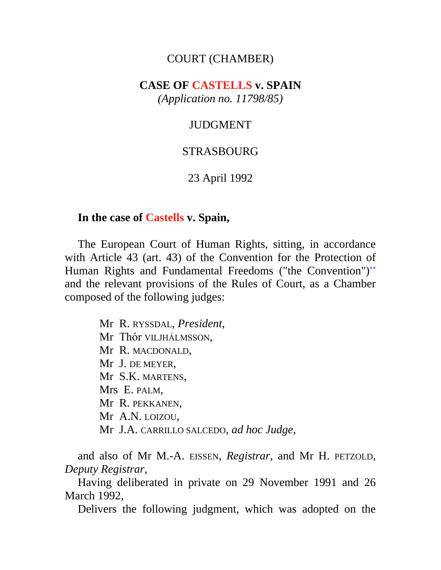## COURT (CHAMBER)

## **CASE OF CASTELLS v. SPAIN** *(Application no. 11798/85)*

### JUDGMENT

### STRASBOURG

### 23 April 1992

### **In the case of Castells v. Spain,**

The European Court of Human Rights, sitting, in accordance with Article 43 (art. 43) of the Convention for the Protection of Human Rights and Fundamental Freedoms ("the Convention")<sup>\*\*</sup> and the relevant provisions of the Rules of Court, as a Chamber composed of the following judges:

> Mr R. RYSSDAL, *President*, Mr Thór VILJHÁLMSSON, Mr R. MACDONALD, Mr J. DE MEYER, Mr S.K. MARTENS, Mrs E. PALM, Mr R. PEKKANEN, Mr A.N. LOIZOU, Mr J.A. CARRILLO SALCEDO, *ad hoc Judge*,

and also of Mr M.-A. EISSEN, *Registrar*, and Mr H. PETZOLD, *Deputy Registrar*,

Having deliberated in private on 29 November 1991 and 26 March 1992,

Delivers the following judgment, which was adopted on the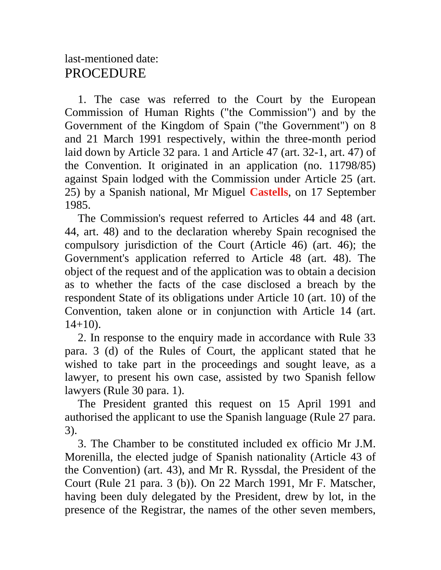# last-mentioned date: PROCEDURE

1. The case was referred to the Court by the European Commission of Human Rights ("the Commission") and by the Government of the Kingdom of Spain ("the Government") on 8 and 21 March 1991 respectively, within the three-month period laid down by Article 32 para. 1 and Article 47 (art. 32-1, art. 47) of the Convention. It originated in an application (no. 11798/85) against Spain lodged with the Commission under Article 25 (art. 25) by a Spanish national, Mr Miguel **Castells**, on 17 September 1985.

The Commission's request referred to Articles 44 and 48 (art. 44, art. 48) and to the declaration whereby Spain recognised the compulsory jurisdiction of the Court (Article 46) (art. 46); the Government's application referred to Article 48 (art. 48). The object of the request and of the application was to obtain a decision as to whether the facts of the case disclosed a breach by the respondent State of its obligations under Article 10 (art. 10) of the Convention, taken alone or in conjunction with Article 14 (art.  $14+10$ ).

2. In response to the enquiry made in accordance with Rule 33 para. 3 (d) of the Rules of Court, the applicant stated that he wished to take part in the proceedings and sought leave, as a lawyer, to present his own case, assisted by two Spanish fellow lawyers (Rule 30 para. 1).

The President granted this request on 15 April 1991 and authorised the applicant to use the Spanish language (Rule 27 para. 3).

3. The Chamber to be constituted included ex officio Mr J.M. Morenilla, the elected judge of Spanish nationality (Article 43 of the Convention) (art. 43), and Mr R. Ryssdal, the President of the Court (Rule 21 para. 3 (b)). On 22 March 1991, Mr F. Matscher, having been duly delegated by the President, drew by lot, in the presence of the Registrar, the names of the other seven members,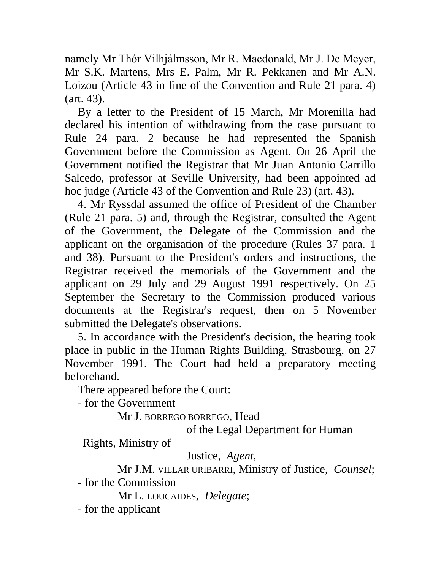namely Mr Thór Vilhjálmsson, Mr R. Macdonald, Mr J. De Meyer, Mr S.K. Martens, Mrs E. Palm, Mr R. Pekkanen and Mr A.N. Loizou (Article 43 in fine of the Convention and Rule 21 para. 4) (art. 43).

By a letter to the President of 15 March, Mr Morenilla had declared his intention of withdrawing from the case pursuant to Rule 24 para. 2 because he had represented the Spanish Government before the Commission as Agent. On 26 April the Government notified the Registrar that Mr Juan Antonio Carrillo Salcedo, professor at Seville University, had been appointed ad hoc judge (Article 43 of the Convention and Rule 23) (art. 43).

4. Mr Ryssdal assumed the office of President of the Chamber (Rule 21 para. 5) and, through the Registrar, consulted the Agent of the Government, the Delegate of the Commission and the applicant on the organisation of the procedure (Rules 37 para. 1 and 38). Pursuant to the President's orders and instructions, the Registrar received the memorials of the Government and the applicant on 29 July and 29 August 1991 respectively. On 25 September the Secretary to the Commission produced various documents at the Registrar's request, then on 5 November submitted the Delegate's observations.

5. In accordance with the President's decision, the hearing took place in public in the Human Rights Building, Strasbourg, on 27 November 1991. The Court had held a preparatory meeting beforehand.

There appeared before the Court:

- for the Government

Mr J. BORREGO BORREGO, Head

of the Legal Department for Human

Rights, Ministry of

Justice, *Agent*,

Mr J.M. VILLAR URIBARRI, Ministry of Justice, *Counsel*;

- for the Commission

Mr L. LOUCAIDES, *Delegate*;

- for the applicant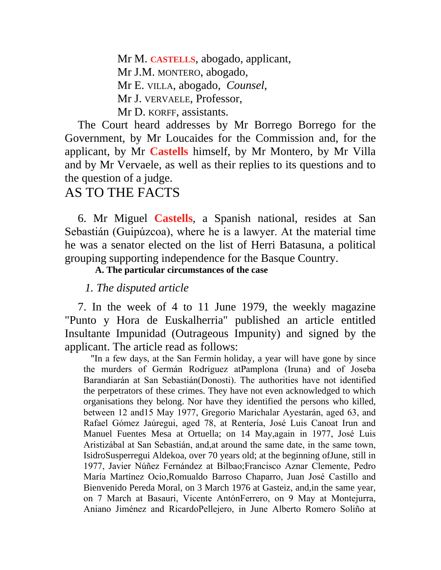Mr M. **CASTELLS**, abogado, applicant, Mr J.M. MONTERO, abogado, Mr E. VILLA, abogado, *Counsel*, Mr J. VERVAELE, Professor, Mr D. KORFF, assistants.

The Court heard addresses by Mr Borrego Borrego for the Government, by Mr Loucaides for the Commission and, for the applicant, by Mr **Castells** himself, by Mr Montero, by Mr Villa and by Mr Vervaele, as well as their replies to its questions and to the question of a judge.

# AS TO THE FACTS

6. Mr Miguel **Castells**, a Spanish national, resides at San Sebastián (Guipúzcoa), where he is a lawyer. At the material time he was a senator elected on the list of Herri Batasuna, a political grouping supporting independence for the Basque Country.

**A. The particular circumstances of the case**

## *1. The disputed article*

7. In the week of 4 to 11 June 1979, the weekly magazine "Punto y Hora de Euskalherria" published an article entitled Insultante Impunidad (Outrageous Impunity) and signed by the applicant. The article read as follows:

"In a few days, at the San Fermín holiday, a year will have gone by since the murders of Germán Rodríguez atPamplona (Iruna) and of Joseba Barandiarán at San Sebastián(Donosti). The authorities have not identified the perpetrators of these crimes. They have not even acknowledged to which organisations they belong. Nor have they identified the persons who killed, between 12 and15 May 1977, Gregorio Marichalar Ayestarán, aged 63, and Rafael Gómez Jaúregui, aged 78, at Rentería, José Luis Canoat Irun and Manuel Fuentes Mesa at Ortuella; on 14 May,again in 1977, José Luis Aristizábal at San Sebastián, and,at around the same date, in the same town, IsidroSusperregui Aldekoa, over 70 years old; at the beginning ofJune, still in 1977, Javier Núñez Fernández at Bilbao;Francisco Aznar Clemente, Pedro María Martínez Ocio,Romualdo Barroso Chaparro, Juan José Castillo and Bienvenido Pereda Moral, on 3 March 1976 at Gasteiz, and,in the same year, on 7 March at Basauri, Vicente AntónFerrero, on 9 May at Montejurra, Aniano Jiménez and RicardoPellejero, in June Alberto Romero Soliño at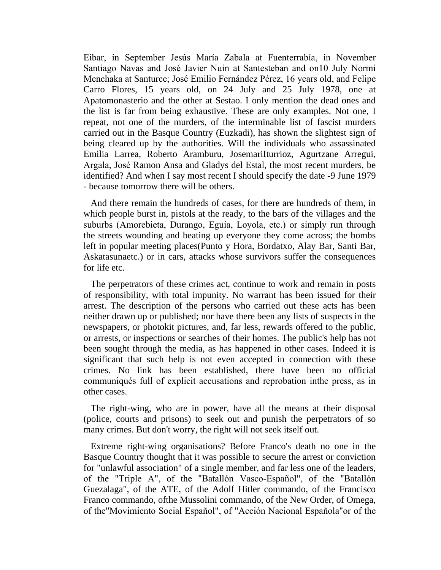Eibar, in September Jesús María Zabala at Fuenterrabía, in November Santiago Navas and José Javier Nuin at Santesteban and on10 July Normi Menchaka at Santurce; José Emilio Fernández Pérez, 16 years old, and Felipe Carro Flores, 15 years old, on 24 July and 25 July 1978, one at Apatomonasterio and the other at Sestao. I only mention the dead ones and the list is far from being exhaustive. These are only examples. Not one, I repeat, not one of the murders, of the interminable list of fascist murders carried out in the Basque Country (Euzkadi), has shown the slightest sign of being cleared up by the authorities. Will the individuals who assassinated Emilia Larrea, Roberto Aramburu, JosemariIturrioz, Agurtzane Arregui, Argala, José Ramon Ansa and Gladys del Estal, the most recent murders, be identified? And when I say most recent I should specify the date -9 June 1979 - because tomorrow there will be others.

And there remain the hundreds of cases, for there are hundreds of them, in which people burst in, pistols at the ready, to the bars of the villages and the suburbs (Amorebieta, Durango, Eguía, Loyola, etc.) or simply run through the streets wounding and beating up everyone they come across; the bombs left in popular meeting places(Punto y Hora, Bordatxo, Alay Bar, Santi Bar, Askatasunaetc.) or in cars, attacks whose survivors suffer the consequences for life etc.

The perpetrators of these crimes act, continue to work and remain in posts of responsibility, with total impunity. No warrant has been issued for their arrest. The description of the persons who carried out these acts has been neither drawn up or published; nor have there been any lists of suspects in the newspapers, or photokit pictures, and, far less, rewards offered to the public, or arrests, or inspections or searches of their homes. The public's help has not been sought through the media, as has happened in other cases. Indeed it is significant that such help is not even accepted in connection with these crimes. No link has been established, there have been no official communiqués full of explicit accusations and reprobation inthe press, as in other cases.

The right-wing, who are in power, have all the means at their disposal (police, courts and prisons) to seek out and punish the perpetrators of so many crimes. But don't worry, the right will not seek itself out.

Extreme right-wing organisations? Before Franco's death no one in the Basque Country thought that it was possible to secure the arrest or conviction for "unlawful association" of a single member, and far less one of the leaders, of the "Triple A", of the "Batallón Vasco-Español", of the "Batallón Guezalaga", of the ATE, of the Adolf Hitler commando, of the Francisco Franco commando, ofthe Mussolini commando, of the New Order, of Omega, of the"Movimiento Social Español", of "Acción Nacional Española"or of the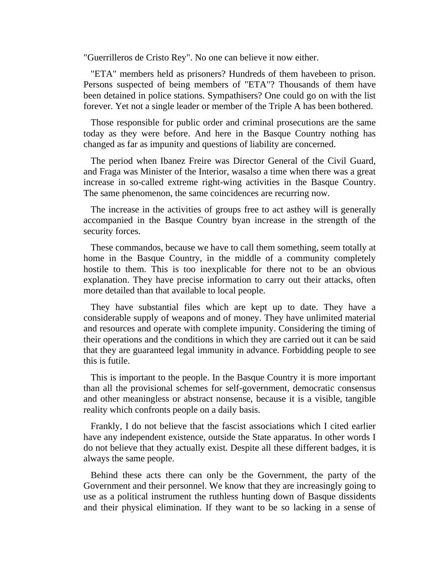"Guerrilleros de Cristo Rey". No one can believe it now either.

"ETA" members held as prisoners? Hundreds of them havebeen to prison. Persons suspected of being members of "ETA"? Thousands of them have been detained in police stations. Sympathisers? One could go on with the list forever. Yet not a single leader or member of the Triple A has been bothered.

Those responsible for public order and criminal prosecutions are the same today as they were before. And here in the Basque Country nothing has changed as far as impunity and questions of liability are concerned.

The period when Ibanez Freire was Director General of the Civil Guard, and Fraga was Minister of the Interior, wasalso a time when there was a great increase in so-called extreme right-wing activities in the Basque Country. The same phenomenon, the same coincidences are recurring now.

The increase in the activities of groups free to act asthey will is generally accompanied in the Basque Country byan increase in the strength of the security forces.

These commandos, because we have to call them something, seem totally at home in the Basque Country, in the middle of a community completely hostile to them. This is too inexplicable for there not to be an obvious explanation. They have precise information to carry out their attacks, often more detailed than that available to local people.

They have substantial files which are kept up to date. They have a considerable supply of weapons and of money. They have unlimited material and resources and operate with complete impunity. Considering the timing of their operations and the conditions in which they are carried out it can be said that they are guaranteed legal immunity in advance. Forbidding people to see this is futile.

This is important to the people. In the Basque Country it is more important than all the provisional schemes for self-government, democratic consensus and other meaningless or abstract nonsense, because it is a visible, tangible reality which confronts people on a daily basis.

Frankly, I do not believe that the fascist associations which I cited earlier have any independent existence, outside the State apparatus. In other words I do not believe that they actually exist. Despite all these different badges, it is always the same people.

Behind these acts there can only be the Government, the party of the Government and their personnel. We know that they are increasingly going to use as a political instrument the ruthless hunting down of Basque dissidents and their physical elimination. If they want to be so lacking in a sense of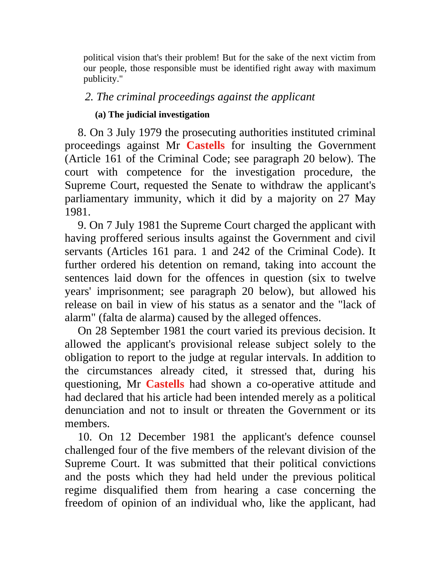political vision that's their problem! But for the sake of the next victim from our people, those responsible must be identified right away with maximum publicity."

## *2. The criminal proceedings against the applicant*

## **(a) The judicial investigation**

8. On 3 July 1979 the prosecuting authorities instituted criminal proceedings against Mr **Castells** for insulting the Government (Article 161 of the Criminal Code; see paragraph 20 below). The court with competence for the investigation procedure, the Supreme Court, requested the Senate to withdraw the applicant's parliamentary immunity, which it did by a majority on 27 May 1981.

9. On 7 July 1981 the Supreme Court charged the applicant with having proffered serious insults against the Government and civil servants (Articles 161 para. 1 and 242 of the Criminal Code). It further ordered his detention on remand, taking into account the sentences laid down for the offences in question (six to twelve years' imprisonment; see paragraph 20 below), but allowed his release on bail in view of his status as a senator and the "lack of alarm" (falta de alarma) caused by the alleged offences.

On 28 September 1981 the court varied its previous decision. It allowed the applicant's provisional release subject solely to the obligation to report to the judge at regular intervals. In addition to the circumstances already cited, it stressed that, during his questioning, Mr **Castells** had shown a co-operative attitude and had declared that his article had been intended merely as a political denunciation and not to insult or threaten the Government or its members.

10. On 12 December 1981 the applicant's defence counsel challenged four of the five members of the relevant division of the Supreme Court. It was submitted that their political convictions and the posts which they had held under the previous political regime disqualified them from hearing a case concerning the freedom of opinion of an individual who, like the applicant, had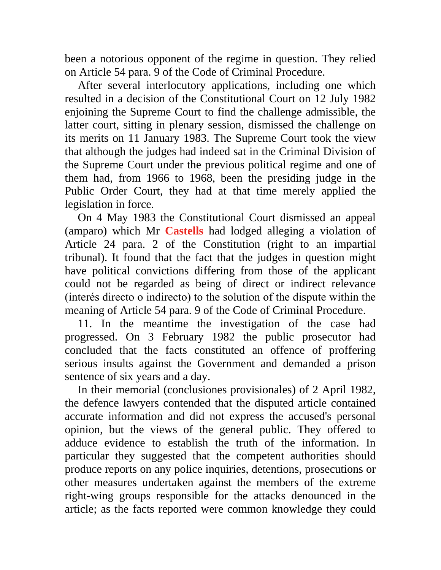been a notorious opponent of the regime in question. They relied on Article 54 para. 9 of the Code of Criminal Procedure.

After several interlocutory applications, including one which resulted in a decision of the Constitutional Court on 12 July 1982 enjoining the Supreme Court to find the challenge admissible, the latter court, sitting in plenary session, dismissed the challenge on its merits on 11 January 1983. The Supreme Court took the view that although the judges had indeed sat in the Criminal Division of the Supreme Court under the previous political regime and one of them had, from 1966 to 1968, been the presiding judge in the Public Order Court, they had at that time merely applied the legislation in force.

On 4 May 1983 the Constitutional Court dismissed an appeal (amparo) which Mr **Castells** had lodged alleging a violation of Article 24 para. 2 of the Constitution (right to an impartial tribunal). It found that the fact that the judges in question might have political convictions differing from those of the applicant could not be regarded as being of direct or indirect relevance (interés directo o indirecto) to the solution of the dispute within the meaning of Article 54 para. 9 of the Code of Criminal Procedure.

11. In the meantime the investigation of the case had progressed. On 3 February 1982 the public prosecutor had concluded that the facts constituted an offence of proffering serious insults against the Government and demanded a prison sentence of six years and a day.

In their memorial (conclusiones provisionales) of 2 April 1982, the defence lawyers contended that the disputed article contained accurate information and did not express the accused's personal opinion, but the views of the general public. They offered to adduce evidence to establish the truth of the information. In particular they suggested that the competent authorities should produce reports on any police inquiries, detentions, prosecutions or other measures undertaken against the members of the extreme right-wing groups responsible for the attacks denounced in the article; as the facts reported were common knowledge they could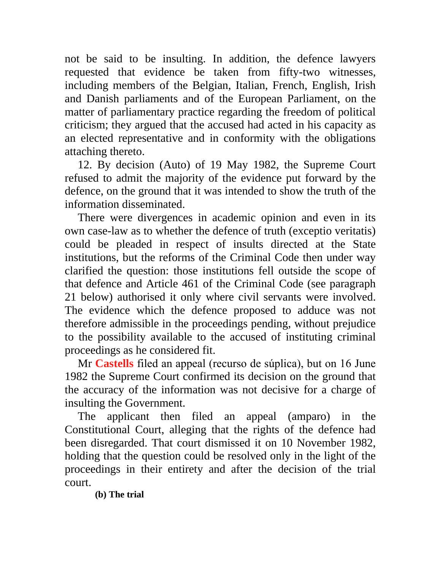not be said to be insulting. In addition, the defence lawyers requested that evidence be taken from fifty-two witnesses, including members of the Belgian, Italian, French, English, Irish and Danish parliaments and of the European Parliament, on the matter of parliamentary practice regarding the freedom of political criticism; they argued that the accused had acted in his capacity as an elected representative and in conformity with the obligations attaching thereto.

12. By decision (Auto) of 19 May 1982, the Supreme Court refused to admit the majority of the evidence put forward by the defence, on the ground that it was intended to show the truth of the information disseminated.

There were divergences in academic opinion and even in its own case-law as to whether the defence of truth (exceptio veritatis) could be pleaded in respect of insults directed at the State institutions, but the reforms of the Criminal Code then under way clarified the question: those institutions fell outside the scope of that defence and Article 461 of the Criminal Code (see paragraph 21 below) authorised it only where civil servants were involved. The evidence which the defence proposed to adduce was not therefore admissible in the proceedings pending, without prejudice to the possibility available to the accused of instituting criminal proceedings as he considered fit.

Mr **Castells** filed an appeal (recurso de súplica), but on 16 June 1982 the Supreme Court confirmed its decision on the ground that the accuracy of the information was not decisive for a charge of insulting the Government.

The applicant then filed an appeal (amparo) in the Constitutional Court, alleging that the rights of the defence had been disregarded. That court dismissed it on 10 November 1982, holding that the question could be resolved only in the light of the proceedings in their entirety and after the decision of the trial court.

**(b) The trial**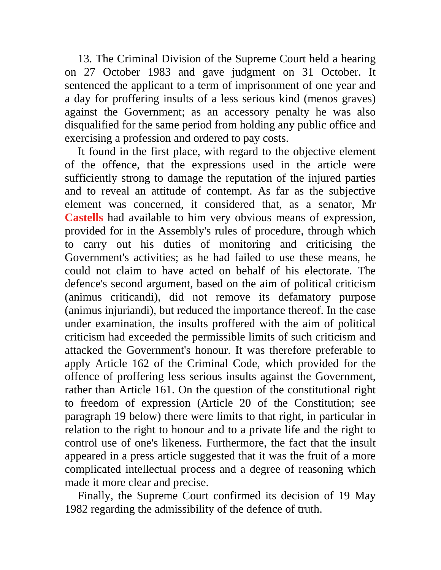13. The Criminal Division of the Supreme Court held a hearing on 27 October 1983 and gave judgment on 31 October. It sentenced the applicant to a term of imprisonment of one year and a day for proffering insults of a less serious kind (menos graves) against the Government; as an accessory penalty he was also disqualified for the same period from holding any public office and exercising a profession and ordered to pay costs.

It found in the first place, with regard to the objective element of the offence, that the expressions used in the article were sufficiently strong to damage the reputation of the injured parties and to reveal an attitude of contempt. As far as the subjective element was concerned, it considered that, as a senator, Mr **Castells** had available to him very obvious means of expression, provided for in the Assembly's rules of procedure, through which to carry out his duties of monitoring and criticising the Government's activities; as he had failed to use these means, he could not claim to have acted on behalf of his electorate. The defence's second argument, based on the aim of political criticism (animus criticandi), did not remove its defamatory purpose (animus injuriandi), but reduced the importance thereof. In the case under examination, the insults proffered with the aim of political criticism had exceeded the permissible limits of such criticism and attacked the Government's honour. It was therefore preferable to apply Article 162 of the Criminal Code, which provided for the offence of proffering less serious insults against the Government, rather than Article 161. On the question of the constitutional right to freedom of expression (Article 20 of the Constitution; see paragraph 19 below) there were limits to that right, in particular in relation to the right to honour and to a private life and the right to control use of one's likeness. Furthermore, the fact that the insult appeared in a press article suggested that it was the fruit of a more complicated intellectual process and a degree of reasoning which made it more clear and precise.

Finally, the Supreme Court confirmed its decision of 19 May 1982 regarding the admissibility of the defence of truth.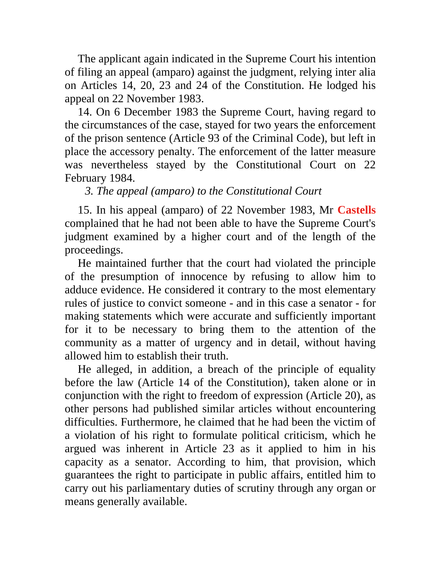The applicant again indicated in the Supreme Court his intention of filing an appeal (amparo) against the judgment, relying inter alia on Articles 14, 20, 23 and 24 of the Constitution. He lodged his appeal on 22 November 1983.

14. On 6 December 1983 the Supreme Court, having regard to the circumstances of the case, stayed for two years the enforcement of the prison sentence (Article 93 of the Criminal Code), but left in place the accessory penalty. The enforcement of the latter measure was nevertheless stayed by the Constitutional Court on 22 February 1984.

*3. The appeal (amparo) to the Constitutional Court*

15. In his appeal (amparo) of 22 November 1983, Mr **Castells** complained that he had not been able to have the Supreme Court's judgment examined by a higher court and of the length of the proceedings.

He maintained further that the court had violated the principle of the presumption of innocence by refusing to allow him to adduce evidence. He considered it contrary to the most elementary rules of justice to convict someone - and in this case a senator - for making statements which were accurate and sufficiently important for it to be necessary to bring them to the attention of the community as a matter of urgency and in detail, without having allowed him to establish their truth.

He alleged, in addition, a breach of the principle of equality before the law (Article 14 of the Constitution), taken alone or in conjunction with the right to freedom of expression (Article 20), as other persons had published similar articles without encountering difficulties. Furthermore, he claimed that he had been the victim of a violation of his right to formulate political criticism, which he argued was inherent in Article 23 as it applied to him in his capacity as a senator. According to him, that provision, which guarantees the right to participate in public affairs, entitled him to carry out his parliamentary duties of scrutiny through any organ or means generally available.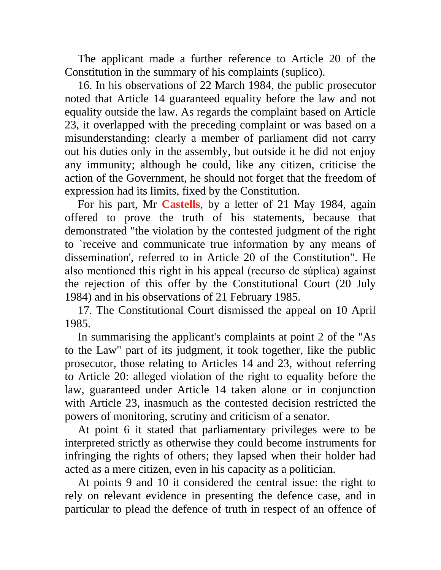The applicant made a further reference to Article 20 of the Constitution in the summary of his complaints (suplico).

16. In his observations of 22 March 1984, the public prosecutor noted that Article 14 guaranteed equality before the law and not equality outside the law. As regards the complaint based on Article 23, it overlapped with the preceding complaint or was based on a misunderstanding: clearly a member of parliament did not carry out his duties only in the assembly, but outside it he did not enjoy any immunity; although he could, like any citizen, criticise the action of the Government, he should not forget that the freedom of expression had its limits, fixed by the Constitution.

For his part, Mr **Castells**, by a letter of 21 May 1984, again offered to prove the truth of his statements, because that demonstrated "the violation by the contested judgment of the right to `receive and communicate true information by any means of dissemination', referred to in Article 20 of the Constitution". He also mentioned this right in his appeal (recurso de súplica) against the rejection of this offer by the Constitutional Court (20 July 1984) and in his observations of 21 February 1985.

17. The Constitutional Court dismissed the appeal on 10 April 1985.

In summarising the applicant's complaints at point 2 of the "As to the Law" part of its judgment, it took together, like the public prosecutor, those relating to Articles 14 and 23, without referring to Article 20: alleged violation of the right to equality before the law, guaranteed under Article 14 taken alone or in conjunction with Article 23, inasmuch as the contested decision restricted the powers of monitoring, scrutiny and criticism of a senator.

At point 6 it stated that parliamentary privileges were to be interpreted strictly as otherwise they could become instruments for infringing the rights of others; they lapsed when their holder had acted as a mere citizen, even in his capacity as a politician.

At points 9 and 10 it considered the central issue: the right to rely on relevant evidence in presenting the defence case, and in particular to plead the defence of truth in respect of an offence of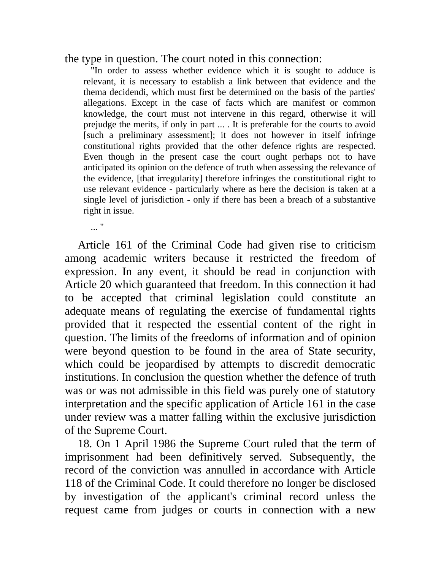### the type in question. The court noted in this connection:

"In order to assess whether evidence which it is sought to adduce is relevant, it is necessary to establish a link between that evidence and the thema decidendi, which must first be determined on the basis of the parties' allegations. Except in the case of facts which are manifest or common knowledge, the court must not intervene in this regard, otherwise it will prejudge the merits, if only in part ... . It is preferable for the courts to avoid [such a preliminary assessment]; it does not however in itself infringe constitutional rights provided that the other defence rights are respected. Even though in the present case the court ought perhaps not to have anticipated its opinion on the defence of truth when assessing the relevance of the evidence, [that irregularity] therefore infringes the constitutional right to use relevant evidence - particularly where as here the decision is taken at a single level of jurisdiction - only if there has been a breach of a substantive right in issue.

 $\mathbf{r}$  "

Article 161 of the Criminal Code had given rise to criticism among academic writers because it restricted the freedom of expression. In any event, it should be read in conjunction with Article 20 which guaranteed that freedom. In this connection it had to be accepted that criminal legislation could constitute an adequate means of regulating the exercise of fundamental rights provided that it respected the essential content of the right in question. The limits of the freedoms of information and of opinion were beyond question to be found in the area of State security, which could be jeopardised by attempts to discredit democratic institutions. In conclusion the question whether the defence of truth was or was not admissible in this field was purely one of statutory interpretation and the specific application of Article 161 in the case under review was a matter falling within the exclusive jurisdiction of the Supreme Court.

18. On 1 April 1986 the Supreme Court ruled that the term of imprisonment had been definitively served. Subsequently, the record of the conviction was annulled in accordance with Article 118 of the Criminal Code. It could therefore no longer be disclosed by investigation of the applicant's criminal record unless the request came from judges or courts in connection with a new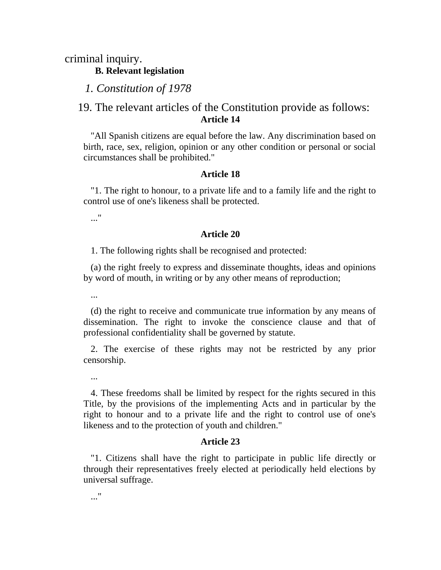criminal inquiry.

**B. Relevant legislation**

*1. Constitution of 1978*

## 19. The relevant articles of the Constitution provide as follows: **Article 14**

"All Spanish citizens are equal before the law. Any discrimination based on birth, race, sex, religion, opinion or any other condition or personal or social circumstances shall be prohibited."

#### **Article 18**

"1. The right to honour, to a private life and to a family life and the right to control use of one's likeness shall be protected.

..."

#### **Article 20**

1. The following rights shall be recognised and protected:

(a) the right freely to express and disseminate thoughts, ideas and opinions by word of mouth, in writing or by any other means of reproduction;

...

(d) the right to receive and communicate true information by any means of dissemination. The right to invoke the conscience clause and that of professional confidentiality shall be governed by statute.

2. The exercise of these rights may not be restricted by any prior censorship.

...

4. These freedoms shall be limited by respect for the rights secured in this Title, by the provisions of the implementing Acts and in particular by the right to honour and to a private life and the right to control use of one's likeness and to the protection of youth and children."

#### **Article 23**

"1. Citizens shall have the right to participate in public life directly or through their representatives freely elected at periodically held elections by universal suffrage.

..."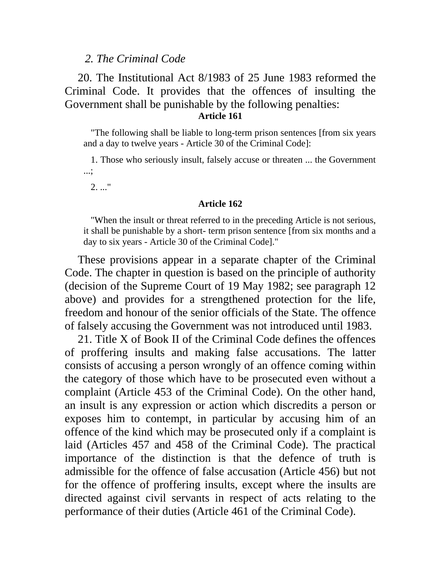### *2. The Criminal Code*

## 20. The Institutional Act 8/1983 of 25 June 1983 reformed the Criminal Code. It provides that the offences of insulting the Government shall be punishable by the following penalties: **Article 161**

"The following shall be liable to long-term prison sentences [from six years and a day to twelve years - Article 30 of the Criminal Code]:

1. Those who seriously insult, falsely accuse or threaten ... the Government ...;

2. ..."

#### **Article 162**

"When the insult or threat referred to in the preceding Article is not serious, it shall be punishable by a short- term prison sentence [from six months and a day to six years - Article 30 of the Criminal Code]."

These provisions appear in a separate chapter of the Criminal Code. The chapter in question is based on the principle of authority (decision of the Supreme Court of 19 May 1982; see paragraph 12 above) and provides for a strengthened protection for the life, freedom and honour of the senior officials of the State. The offence of falsely accusing the Government was not introduced until 1983.

21. Title X of Book II of the Criminal Code defines the offences of proffering insults and making false accusations. The latter consists of accusing a person wrongly of an offence coming within the category of those which have to be prosecuted even without a complaint (Article 453 of the Criminal Code). On the other hand, an insult is any expression or action which discredits a person or exposes him to contempt, in particular by accusing him of an offence of the kind which may be prosecuted only if a complaint is laid (Articles 457 and 458 of the Criminal Code). The practical importance of the distinction is that the defence of truth is admissible for the offence of false accusation (Article 456) but not for the offence of proffering insults, except where the insults are directed against civil servants in respect of acts relating to the performance of their duties (Article 461 of the Criminal Code).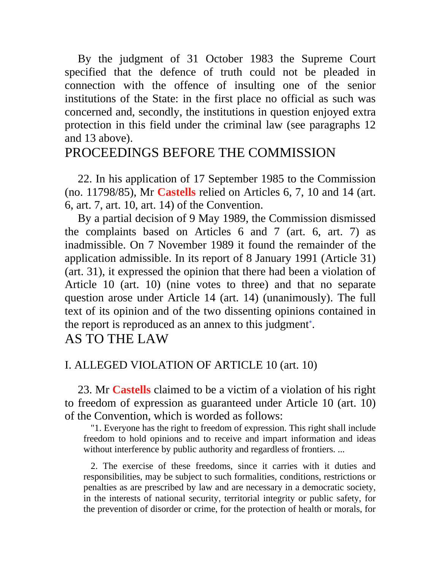By the judgment of 31 October 1983 the Supreme Court specified that the defence of truth could not be pleaded in connection with the offence of insulting one of the senior institutions of the State: in the first place no official as such was concerned and, secondly, the institutions in question enjoyed extra protection in this field under the criminal law (see paragraphs 12 and 13 above).

# PROCEEDINGS BEFORE THE COMMISSION

22. In his application of 17 September 1985 to the Commission (no. 11798/85), Mr **Castells** relied on Articles 6, 7, 10 and 14 (art. 6, art. 7, art. 10, art. 14) of the Convention.

By a partial decision of 9 May 1989, the Commission dismissed the complaints based on Articles 6 and 7 (art. 6, art. 7) as inadmissible. On 7 November 1989 it found the remainder of the application admissible. In its report of 8 January 1991 (Article 31) (art. 31), it expressed the opinion that there had been a violation of Article 10 (art. 10) (nine votes to three) and that no separate question arose under Article 14 (art. 14) (unanimously). The full text of its opinion and of the two dissenting opinions contained in the report is reproduced as an annex to this judgment .

AS TO THE LAW

## I. ALLEGED VIOLATION OF ARTICLE 10 (art. 10)

23. Mr **Castells** claimed to be a victim of a violation of his right to freedom of expression as guaranteed under Article 10 (art. 10) of the Convention, which is worded as follows:

"1. Everyone has the right to freedom of expression. This right shall include freedom to hold opinions and to receive and impart information and ideas without interference by public authority and regardless of frontiers. ...

2. The exercise of these freedoms, since it carries with it duties and responsibilities, may be subject to such formalities, conditions, restrictions or penalties as are prescribed by law and are necessary in a democratic society, in the interests of national security, territorial integrity or public safety, for the prevention of disorder or crime, for the protection of health or morals, for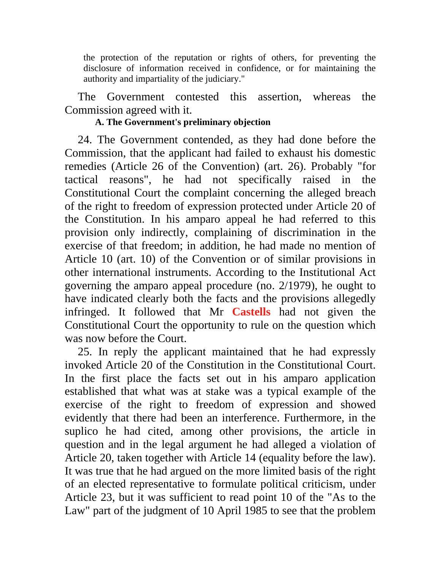the protection of the reputation or rights of others, for preventing the disclosure of information received in confidence, or for maintaining the authority and impartiality of the judiciary."

The Government contested this assertion, whereas the Commission agreed with it.

## **A. The Government's preliminary objection**

24. The Government contended, as they had done before the Commission, that the applicant had failed to exhaust his domestic remedies (Article 26 of the Convention) (art. 26). Probably "for tactical reasons", he had not specifically raised in the Constitutional Court the complaint concerning the alleged breach of the right to freedom of expression protected under Article 20 of the Constitution. In his amparo appeal he had referred to this provision only indirectly, complaining of discrimination in the exercise of that freedom; in addition, he had made no mention of Article 10 (art. 10) of the Convention or of similar provisions in other international instruments. According to the Institutional Act governing the amparo appeal procedure (no. 2/1979), he ought to have indicated clearly both the facts and the provisions allegedly infringed. It followed that Mr **Castells** had not given the Constitutional Court the opportunity to rule on the question which was now before the Court.

25. In reply the applicant maintained that he had expressly invoked Article 20 of the Constitution in the Constitutional Court. In the first place the facts set out in his amparo application established that what was at stake was a typical example of the exercise of the right to freedom of expression and showed evidently that there had been an interference. Furthermore, in the suplico he had cited, among other provisions, the article in question and in the legal argument he had alleged a violation of Article 20, taken together with Article 14 (equality before the law). It was true that he had argued on the more limited basis of the right of an elected representative to formulate political criticism, under Article 23, but it was sufficient to read point 10 of the "As to the Law" part of the judgment of 10 April 1985 to see that the problem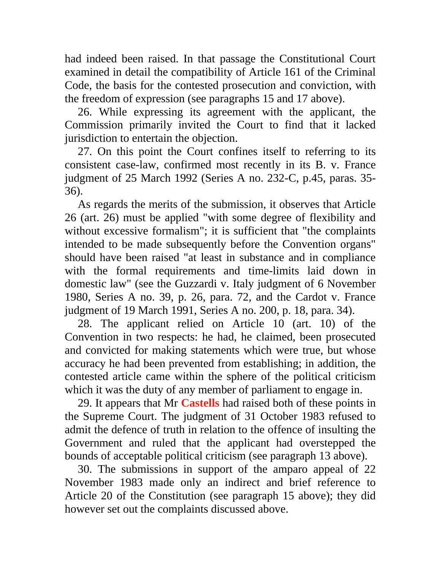had indeed been raised. In that passage the Constitutional Court examined in detail the compatibility of Article 161 of the Criminal Code, the basis for the contested prosecution and conviction, with the freedom of expression (see paragraphs 15 and 17 above).

26. While expressing its agreement with the applicant, the Commission primarily invited the Court to find that it lacked jurisdiction to entertain the objection.

27. On this point the Court confines itself to referring to its consistent case-law, confirmed most recently in its B. v. France judgment of 25 March 1992 (Series A no. 232-C, p.45, paras. 35- 36).

As regards the merits of the submission, it observes that Article 26 (art. 26) must be applied "with some degree of flexibility and without excessive formalism"; it is sufficient that "the complaints intended to be made subsequently before the Convention organs" should have been raised "at least in substance and in compliance with the formal requirements and time-limits laid down in domestic law" (see the Guzzardi v. Italy judgment of 6 November 1980, Series A no. 39, p. 26, para. 72, and the Cardot v. France judgment of 19 March 1991, Series A no. 200, p. 18, para. 34).

28. The applicant relied on Article 10 (art. 10) of the Convention in two respects: he had, he claimed, been prosecuted and convicted for making statements which were true, but whose accuracy he had been prevented from establishing; in addition, the contested article came within the sphere of the political criticism which it was the duty of any member of parliament to engage in.

29. It appears that Mr **Castells** had raised both of these points in the Supreme Court. The judgment of 31 October 1983 refused to admit the defence of truth in relation to the offence of insulting the Government and ruled that the applicant had overstepped the bounds of acceptable political criticism (see paragraph 13 above).

30. The submissions in support of the amparo appeal of 22 November 1983 made only an indirect and brief reference to Article 20 of the Constitution (see paragraph 15 above); they did however set out the complaints discussed above.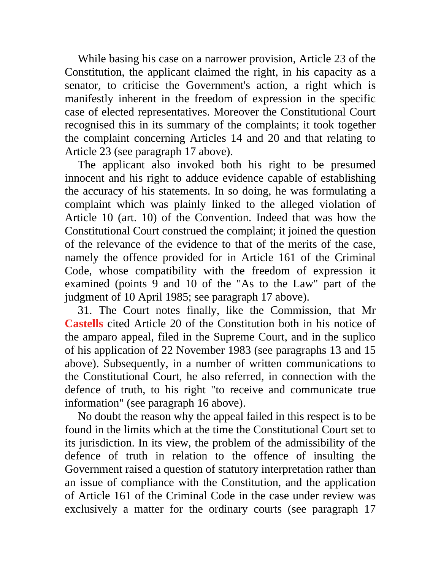While basing his case on a narrower provision, Article 23 of the Constitution, the applicant claimed the right, in his capacity as a senator, to criticise the Government's action, a right which is manifestly inherent in the freedom of expression in the specific case of elected representatives. Moreover the Constitutional Court recognised this in its summary of the complaints; it took together the complaint concerning Articles 14 and 20 and that relating to Article 23 (see paragraph 17 above).

The applicant also invoked both his right to be presumed innocent and his right to adduce evidence capable of establishing the accuracy of his statements. In so doing, he was formulating a complaint which was plainly linked to the alleged violation of Article 10 (art. 10) of the Convention. Indeed that was how the Constitutional Court construed the complaint; it joined the question of the relevance of the evidence to that of the merits of the case, namely the offence provided for in Article 161 of the Criminal Code, whose compatibility with the freedom of expression it examined (points 9 and 10 of the "As to the Law" part of the judgment of 10 April 1985; see paragraph 17 above).

31. The Court notes finally, like the Commission, that Mr **Castells** cited Article 20 of the Constitution both in his notice of the amparo appeal, filed in the Supreme Court, and in the suplico of his application of 22 November 1983 (see paragraphs 13 and 15 above). Subsequently, in a number of written communications to the Constitutional Court, he also referred, in connection with the defence of truth, to his right "to receive and communicate true information" (see paragraph 16 above).

No doubt the reason why the appeal failed in this respect is to be found in the limits which at the time the Constitutional Court set to its jurisdiction. In its view, the problem of the admissibility of the defence of truth in relation to the offence of insulting the Government raised a question of statutory interpretation rather than an issue of compliance with the Constitution, and the application of Article 161 of the Criminal Code in the case under review was exclusively a matter for the ordinary courts (see paragraph 17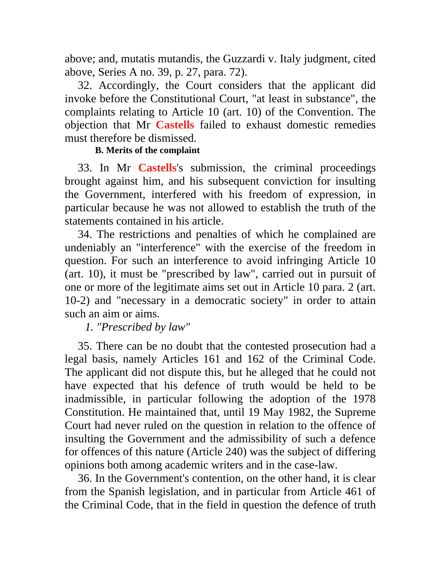above; and, mutatis mutandis, the Guzzardi v. Italy judgment, cited above, Series A no. 39, p. 27, para. 72).

32. Accordingly, the Court considers that the applicant did invoke before the Constitutional Court, "at least in substance", the complaints relating to Article 10 (art. 10) of the Convention. The objection that Mr **Castells** failed to exhaust domestic remedies must therefore be dismissed.

## **B. Merits of the complaint**

33. In Mr **Castells**'s submission, the criminal proceedings brought against him, and his subsequent conviction for insulting the Government, interfered with his freedom of expression, in particular because he was not allowed to establish the truth of the statements contained in his article.

34. The restrictions and penalties of which he complained are undeniably an "interference" with the exercise of the freedom in question. For such an interference to avoid infringing Article 10 (art. 10), it must be "prescribed by law", carried out in pursuit of one or more of the legitimate aims set out in Article 10 para. 2 (art. 10-2) and "necessary in a democratic society" in order to attain such an aim or aims.

*1. "Prescribed by law"*

35. There can be no doubt that the contested prosecution had a legal basis, namely Articles 161 and 162 of the Criminal Code. The applicant did not dispute this, but he alleged that he could not have expected that his defence of truth would be held to be inadmissible, in particular following the adoption of the 1978 Constitution. He maintained that, until 19 May 1982, the Supreme Court had never ruled on the question in relation to the offence of insulting the Government and the admissibility of such a defence for offences of this nature (Article 240) was the subject of differing opinions both among academic writers and in the case-law.

36. In the Government's contention, on the other hand, it is clear from the Spanish legislation, and in particular from Article 461 of the Criminal Code, that in the field in question the defence of truth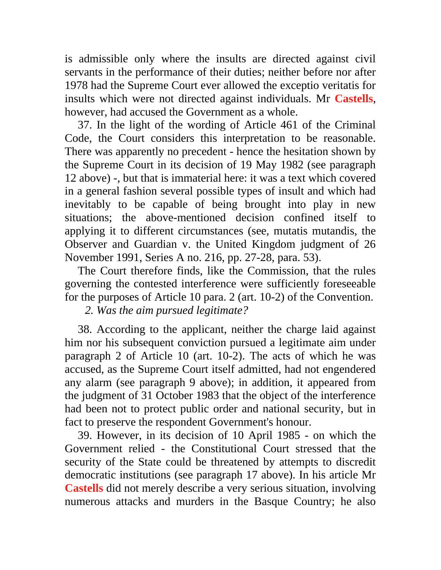is admissible only where the insults are directed against civil servants in the performance of their duties; neither before nor after 1978 had the Supreme Court ever allowed the exceptio veritatis for insults which were not directed against individuals. Mr **Castells**, however, had accused the Government as a whole.

37. In the light of the wording of Article 461 of the Criminal Code, the Court considers this interpretation to be reasonable. There was apparently no precedent - hence the hesitation shown by the Supreme Court in its decision of 19 May 1982 (see paragraph 12 above) -, but that is immaterial here: it was a text which covered in a general fashion several possible types of insult and which had inevitably to be capable of being brought into play in new situations; the above-mentioned decision confined itself to applying it to different circumstances (see, mutatis mutandis, the Observer and Guardian v. the United Kingdom judgment of 26 November 1991, Series A no. 216, pp. 27-28, para. 53).

The Court therefore finds, like the Commission, that the rules governing the contested interference were sufficiently foreseeable for the purposes of Article 10 para. 2 (art. 10-2) of the Convention.

*2. Was the aim pursued legitimate?*

38. According to the applicant, neither the charge laid against him nor his subsequent conviction pursued a legitimate aim under paragraph 2 of Article 10 (art. 10-2). The acts of which he was accused, as the Supreme Court itself admitted, had not engendered any alarm (see paragraph 9 above); in addition, it appeared from the judgment of 31 October 1983 that the object of the interference had been not to protect public order and national security, but in fact to preserve the respondent Government's honour.

39. However, in its decision of 10 April 1985 - on which the Government relied - the Constitutional Court stressed that the security of the State could be threatened by attempts to discredit democratic institutions (see paragraph 17 above). In his article Mr **Castells** did not merely describe a very serious situation, involving numerous attacks and murders in the Basque Country; he also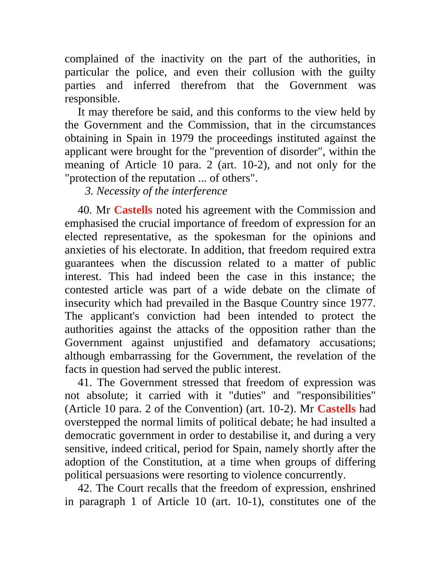complained of the inactivity on the part of the authorities, in particular the police, and even their collusion with the guilty parties and inferred therefrom that the Government was responsible.

It may therefore be said, and this conforms to the view held by the Government and the Commission, that in the circumstances obtaining in Spain in 1979 the proceedings instituted against the applicant were brought for the "prevention of disorder", within the meaning of Article 10 para. 2 (art. 10-2), and not only for the "protection of the reputation ... of others".

*3. Necessity of the interference*

40. Mr **Castells** noted his agreement with the Commission and emphasised the crucial importance of freedom of expression for an elected representative, as the spokesman for the opinions and anxieties of his electorate. In addition, that freedom required extra guarantees when the discussion related to a matter of public interest. This had indeed been the case in this instance; the contested article was part of a wide debate on the climate of insecurity which had prevailed in the Basque Country since 1977. The applicant's conviction had been intended to protect the authorities against the attacks of the opposition rather than the Government against unjustified and defamatory accusations; although embarrassing for the Government, the revelation of the facts in question had served the public interest.

41. The Government stressed that freedom of expression was not absolute; it carried with it "duties" and "responsibilities" (Article 10 para. 2 of the Convention) (art. 10-2). Mr **Castells** had overstepped the normal limits of political debate; he had insulted a democratic government in order to destabilise it, and during a very sensitive, indeed critical, period for Spain, namely shortly after the adoption of the Constitution, at a time when groups of differing political persuasions were resorting to violence concurrently.

42. The Court recalls that the freedom of expression, enshrined in paragraph 1 of Article 10 (art. 10-1), constitutes one of the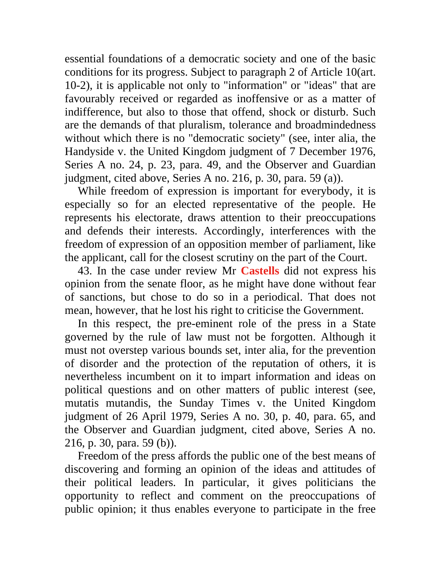essential foundations of a democratic society and one of the basic conditions for its progress. Subject to paragraph 2 of Article 10(art. 10-2), it is applicable not only to "information" or "ideas" that are favourably received or regarded as inoffensive or as a matter of indifference, but also to those that offend, shock or disturb. Such are the demands of that pluralism, tolerance and broadmindedness without which there is no "democratic society" (see, inter alia, the Handyside v. the United Kingdom judgment of 7 December 1976, Series A no. 24, p. 23, para. 49, and the Observer and Guardian judgment, cited above, Series A no. 216, p. 30, para. 59 (a)).

While freedom of expression is important for everybody, it is especially so for an elected representative of the people. He represents his electorate, draws attention to their preoccupations and defends their interests. Accordingly, interferences with the freedom of expression of an opposition member of parliament, like the applicant, call for the closest scrutiny on the part of the Court.

43. In the case under review Mr **Castells** did not express his opinion from the senate floor, as he might have done without fear of sanctions, but chose to do so in a periodical. That does not mean, however, that he lost his right to criticise the Government.

In this respect, the pre-eminent role of the press in a State governed by the rule of law must not be forgotten. Although it must not overstep various bounds set, inter alia, for the prevention of disorder and the protection of the reputation of others, it is nevertheless incumbent on it to impart information and ideas on political questions and on other matters of public interest (see, mutatis mutandis, the Sunday Times v. the United Kingdom judgment of 26 April 1979, Series A no. 30, p. 40, para. 65, and the Observer and Guardian judgment, cited above, Series A no. 216, p. 30, para. 59 (b)).

Freedom of the press affords the public one of the best means of discovering and forming an opinion of the ideas and attitudes of their political leaders. In particular, it gives politicians the opportunity to reflect and comment on the preoccupations of public opinion; it thus enables everyone to participate in the free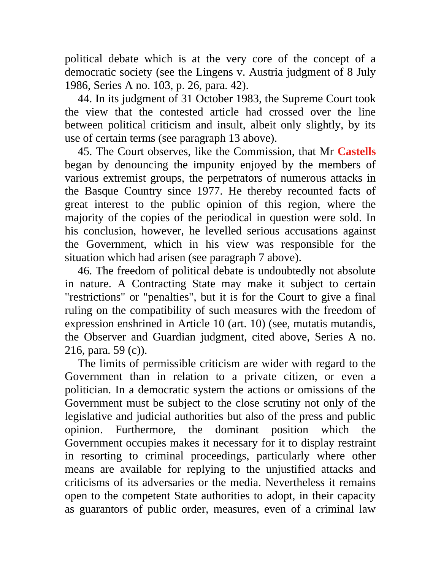political debate which is at the very core of the concept of a democratic society (see the Lingens v. Austria judgment of 8 July 1986, Series A no. 103, p. 26, para. 42).

44. In its judgment of 31 October 1983, the Supreme Court took the view that the contested article had crossed over the line between political criticism and insult, albeit only slightly, by its use of certain terms (see paragraph 13 above).

45. The Court observes, like the Commission, that Mr **Castells** began by denouncing the impunity enjoyed by the members of various extremist groups, the perpetrators of numerous attacks in the Basque Country since 1977. He thereby recounted facts of great interest to the public opinion of this region, where the majority of the copies of the periodical in question were sold. In his conclusion, however, he levelled serious accusations against the Government, which in his view was responsible for the situation which had arisen (see paragraph 7 above).

46. The freedom of political debate is undoubtedly not absolute in nature. A Contracting State may make it subject to certain "restrictions" or "penalties", but it is for the Court to give a final ruling on the compatibility of such measures with the freedom of expression enshrined in Article 10 (art. 10) (see, mutatis mutandis, the Observer and Guardian judgment, cited above, Series A no. 216, para. 59 (c)).

The limits of permissible criticism are wider with regard to the Government than in relation to a private citizen, or even a politician. In a democratic system the actions or omissions of the Government must be subject to the close scrutiny not only of the legislative and judicial authorities but also of the press and public opinion. Furthermore, the dominant position which the Government occupies makes it necessary for it to display restraint in resorting to criminal proceedings, particularly where other means are available for replying to the unjustified attacks and criticisms of its adversaries or the media. Nevertheless it remains open to the competent State authorities to adopt, in their capacity as guarantors of public order, measures, even of a criminal law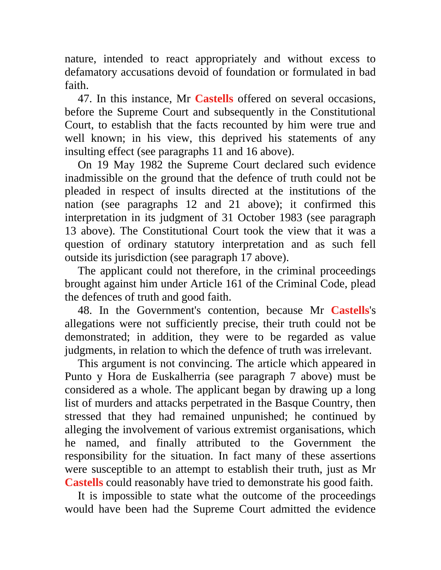nature, intended to react appropriately and without excess to defamatory accusations devoid of foundation or formulated in bad faith.

47. In this instance, Mr **Castells** offered on several occasions, before the Supreme Court and subsequently in the Constitutional Court, to establish that the facts recounted by him were true and well known; in his view, this deprived his statements of any insulting effect (see paragraphs 11 and 16 above).

On 19 May 1982 the Supreme Court declared such evidence inadmissible on the ground that the defence of truth could not be pleaded in respect of insults directed at the institutions of the nation (see paragraphs 12 and 21 above); it confirmed this interpretation in its judgment of 31 October 1983 (see paragraph 13 above). The Constitutional Court took the view that it was a question of ordinary statutory interpretation and as such fell outside its jurisdiction (see paragraph 17 above).

The applicant could not therefore, in the criminal proceedings brought against him under Article 161 of the Criminal Code, plead the defences of truth and good faith.

48. In the Government's contention, because Mr **Castells**'s allegations were not sufficiently precise, their truth could not be demonstrated; in addition, they were to be regarded as value judgments, in relation to which the defence of truth was irrelevant.

This argument is not convincing. The article which appeared in Punto y Hora de Euskalherria (see paragraph 7 above) must be considered as a whole. The applicant began by drawing up a long list of murders and attacks perpetrated in the Basque Country, then stressed that they had remained unpunished; he continued by alleging the involvement of various extremist organisations, which he named, and finally attributed to the Government the responsibility for the situation. In fact many of these assertions were susceptible to an attempt to establish their truth, just as Mr **Castells** could reasonably have tried to demonstrate his good faith.

It is impossible to state what the outcome of the proceedings would have been had the Supreme Court admitted the evidence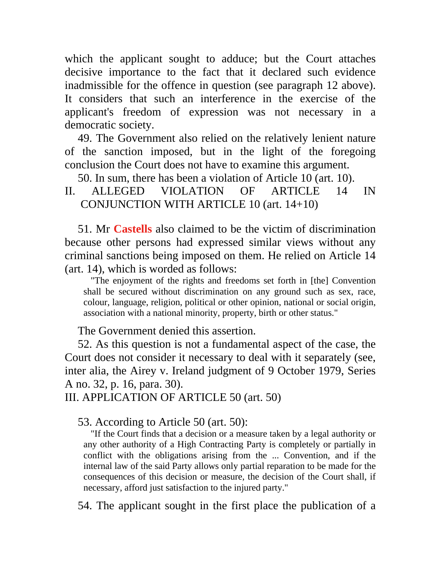which the applicant sought to adduce; but the Court attaches decisive importance to the fact that it declared such evidence inadmissible for the offence in question (see paragraph 12 above). It considers that such an interference in the exercise of the applicant's freedom of expression was not necessary in a democratic society.

49. The Government also relied on the relatively lenient nature of the sanction imposed, but in the light of the foregoing conclusion the Court does not have to examine this argument.

50. In sum, there has been a violation of Article 10 (art. 10).

## II. ALLEGED VIOLATION OF ARTICLE 14 IN CONJUNCTION WITH ARTICLE 10 (art. 14+10)

51. Mr **Castells** also claimed to be the victim of discrimination because other persons had expressed similar views without any criminal sanctions being imposed on them. He relied on Article 14 (art. 14), which is worded as follows:

"The enjoyment of the rights and freedoms set forth in [the] Convention shall be secured without discrimination on any ground such as sex, race, colour, language, religion, political or other opinion, national or social origin, association with a national minority, property, birth or other status."

The Government denied this assertion.

52. As this question is not a fundamental aspect of the case, the Court does not consider it necessary to deal with it separately (see, inter alia, the Airey v. Ireland judgment of 9 October 1979, Series A no. 32, p. 16, para. 30).

III. APPLICATION OF ARTICLE 50 (art. 50)

53. According to Article 50 (art. 50):

"If the Court finds that a decision or a measure taken by a legal authority or any other authority of a High Contracting Party is completely or partially in conflict with the obligations arising from the ... Convention, and if the internal law of the said Party allows only partial reparation to be made for the consequences of this decision or measure, the decision of the Court shall, if necessary, afford just satisfaction to the injured party."

54. The applicant sought in the first place the publication of a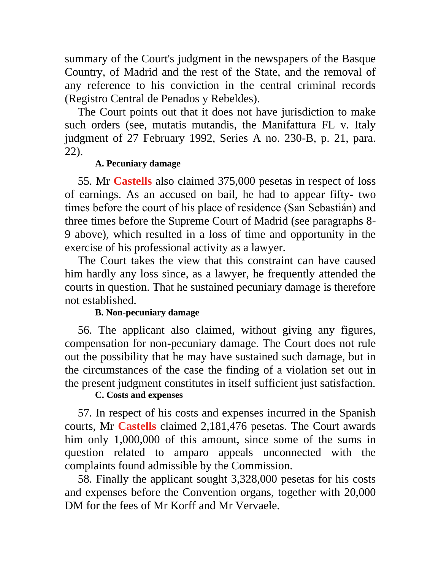summary of the Court's judgment in the newspapers of the Basque Country, of Madrid and the rest of the State, and the removal of any reference to his conviction in the central criminal records (Registro Central de Penados y Rebeldes).

The Court points out that it does not have jurisdiction to make such orders (see, mutatis mutandis, the Manifattura FL v. Italy judgment of 27 February 1992, Series A no. 230-B, p. 21, para. 22).

## **A. Pecuniary damage**

55. Mr **Castells** also claimed 375,000 pesetas in respect of loss of earnings. As an accused on bail, he had to appear fifty- two times before the court of his place of residence (San Sebastián) and three times before the Supreme Court of Madrid (see paragraphs 8- 9 above), which resulted in a loss of time and opportunity in the exercise of his professional activity as a lawyer.

The Court takes the view that this constraint can have caused him hardly any loss since, as a lawyer, he frequently attended the courts in question. That he sustained pecuniary damage is therefore not established.

## **B. Non-pecuniary damage**

56. The applicant also claimed, without giving any figures, compensation for non-pecuniary damage. The Court does not rule out the possibility that he may have sustained such damage, but in the circumstances of the case the finding of a violation set out in the present judgment constitutes in itself sufficient just satisfaction.

## **C. Costs and expenses**

57. In respect of his costs and expenses incurred in the Spanish courts, Mr **Castells** claimed 2,181,476 pesetas. The Court awards him only 1,000,000 of this amount, since some of the sums in question related to amparo appeals unconnected with the complaints found admissible by the Commission.

58. Finally the applicant sought 3,328,000 pesetas for his costs and expenses before the Convention organs, together with 20,000 DM for the fees of Mr Korff and Mr Vervaele.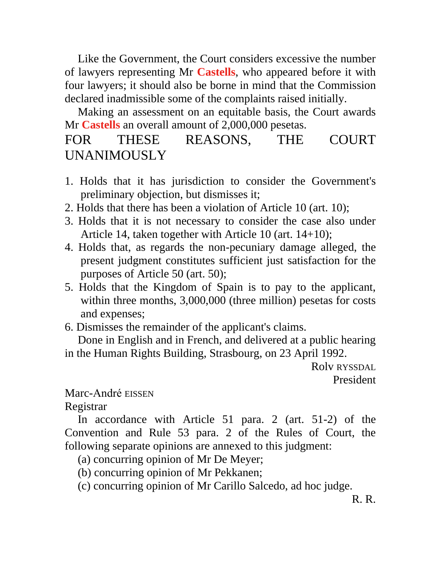Like the Government, the Court considers excessive the number of lawyers representing Mr **Castells**, who appeared before it with four lawyers; it should also be borne in mind that the Commission declared inadmissible some of the complaints raised initially.

Making an assessment on an equitable basis, the Court awards Mr **Castells** an overall amount of 2,000,000 pesetas.

# FOR THESE REASONS, THE COURT UNANIMOUSLY

- 1. Holds that it has jurisdiction to consider the Government's preliminary objection, but dismisses it;
- 2. Holds that there has been a violation of Article 10 (art. 10);
- 3. Holds that it is not necessary to consider the case also under Article 14, taken together with Article 10 (art. 14+10);
- 4. Holds that, as regards the non-pecuniary damage alleged, the present judgment constitutes sufficient just satisfaction for the purposes of Article 50 (art. 50);
- 5. Holds that the Kingdom of Spain is to pay to the applicant, within three months, 3,000,000 (three million) pesetas for costs and expenses;
- 6. Dismisses the remainder of the applicant's claims.

Done in English and in French, and delivered at a public hearing in the Human Rights Building, Strasbourg, on 23 April 1992.

> Rolv RYSSDAL President

Marc-André EISSEN

Registrar

In accordance with Article 51 para. 2 (art. 51-2) of the Convention and Rule 53 para. 2 of the Rules of Court, the following separate opinions are annexed to this judgment:

- (a) concurring opinion of Mr De Meyer;
- (b) concurring opinion of Mr Pekkanen;
- (c) concurring opinion of Mr Carillo Salcedo, ad hoc judge.

R. R.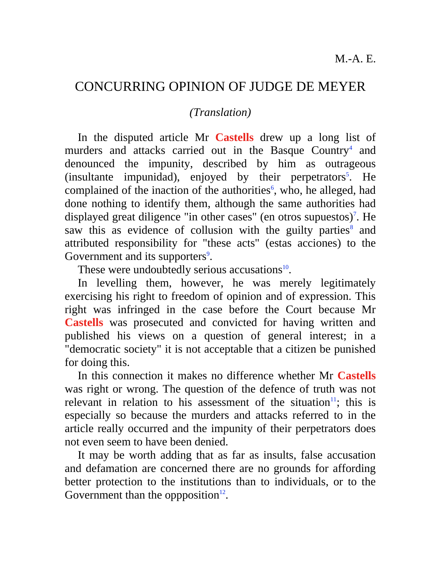# CONCURRING OPINION OF JUDGE DE MEYER

## *(Translation)*

In the disputed article Mr **Castells** drew up a long list of murders and attacks carried out in the Basque Country<sup>4</sup> and denounced the impunity, described by him as outrageous  $(insultante *impunidad*), *enjoyed by their perpetrators<sup>5</sup>*. He$ complained of the inaction of the authorities<sup>6</sup>, who, he alleged, had done nothing to identify them, although the same authorities had displayed great diligence "in other cases" (en otros supuestos)<sup>7</sup>. He saw this as evidence of collusion with the guilty parties<sup>8</sup> and attributed responsibility for "these acts" (estas acciones) to the Government and its supporters<sup>9</sup>.

These were undoubtedly serious accusations $^{10}$ .

In levelling them, however, he was merely legitimately exercising his right to freedom of opinion and of expression. This right was infringed in the case before the Court because Mr **Castells** was prosecuted and convicted for having written and published his views on a question of general interest; in a "democratic society" it is not acceptable that a citizen be punished for doing this.

In this connection it makes no difference whether Mr **Castells** was right or wrong. The question of the defence of truth was not relevant in relation to his assessment of the situation<sup>11</sup>; this is especially so because the murders and attacks referred to in the article really occurred and the impunity of their perpetrators does not even seem to have been denied.

It may be worth adding that as far as insults, false accusation and defamation are concerned there are no grounds for affording better protection to the institutions than to individuals, or to the Government than the oppposition $12$ .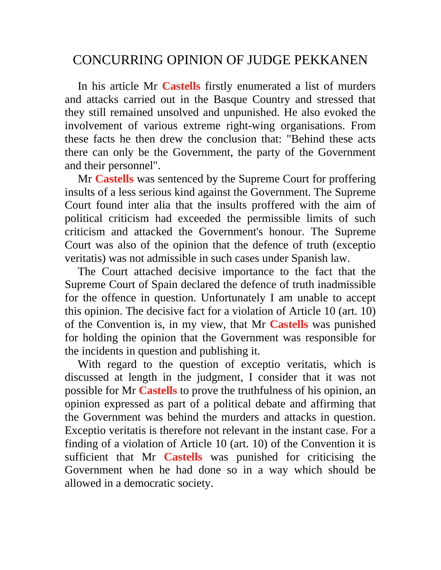# CONCURRING OPINION OF JUDGE PEKKANEN

In his article Mr **Castells** firstly enumerated a list of murders and attacks carried out in the Basque Country and stressed that they still remained unsolved and unpunished. He also evoked the involvement of various extreme right-wing organisations. From these facts he then drew the conclusion that: "Behind these acts there can only be the Government, the party of the Government and their personnel".

Mr **Castells** was sentenced by the Supreme Court for proffering insults of a less serious kind against the Government. The Supreme Court found inter alia that the insults proffered with the aim of political criticism had exceeded the permissible limits of such criticism and attacked the Government's honour. The Supreme Court was also of the opinion that the defence of truth (exceptio veritatis) was not admissible in such cases under Spanish law.

The Court attached decisive importance to the fact that the Supreme Court of Spain declared the defence of truth inadmissible for the offence in question. Unfortunately I am unable to accept this opinion. The decisive fact for a violation of Article 10 (art. 10) of the Convention is, in my view, that Mr **Castells** was punished for holding the opinion that the Government was responsible for the incidents in question and publishing it.

With regard to the question of exceptio veritatis, which is discussed at length in the judgment, I consider that it was not possible for Mr **Castells** to prove the truthfulness of his opinion, an opinion expressed as part of a political debate and affirming that the Government was behind the murders and attacks in question. Exceptio veritatis is therefore not relevant in the instant case. For a finding of a violation of Article 10 (art. 10) of the Convention it is sufficient that Mr **Castells** was punished for criticising the Government when he had done so in a way which should be allowed in a democratic society.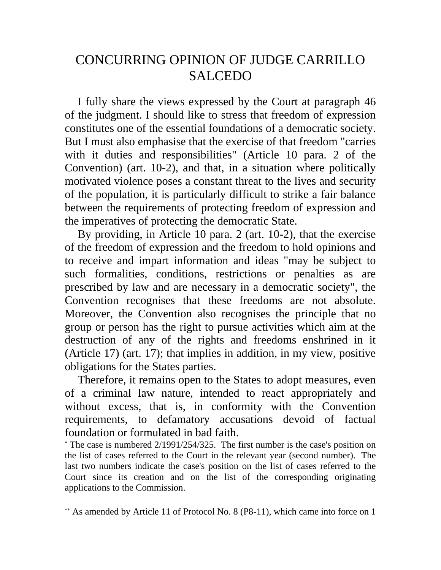# CONCURRING OPINION OF JUDGE CARRILLO SALCEDO

I fully share the views expressed by the Court at paragraph 46 of the judgment. I should like to stress that freedom of expression constitutes one of the essential foundations of a democratic society. But I must also emphasise that the exercise of that freedom "carries with it duties and responsibilities" (Article 10 para. 2 of the Convention) (art. 10-2), and that, in a situation where politically motivated violence poses a constant threat to the lives and security of the population, it is particularly difficult to strike a fair balance between the requirements of protecting freedom of expression and the imperatives of protecting the democratic State.

By providing, in Article 10 para. 2 (art. 10-2), that the exercise of the freedom of expression and the freedom to hold opinions and to receive and impart information and ideas "may be subject to such formalities, conditions, restrictions or penalties as are prescribed by law and are necessary in a democratic society", the Convention recognises that these freedoms are not absolute. Moreover, the Convention also recognises the principle that no group or person has the right to pursue activities which aim at the destruction of any of the rights and freedoms enshrined in it (Article 17) (art. 17); that implies in addition, in my view, positive obligations for the States parties.

Therefore, it remains open to the States to adopt measures, even of a criminal law nature, intended to react appropriately and without excess, that is, in conformity with the Convention requirements, to defamatory accusations devoid of factual foundation or formulated in bad faith.

 The case is numbered 2/1991/254/325. The first number is the case's position on the list of cases referred to the Court in the relevant year (second number). The last two numbers indicate the case's position on the list of cases referred to the Court since its creation and on the list of the corresponding originating applications to the Commission.

As amended by Article 11 of Protocol No. 8 (P8-11), which came into force on 1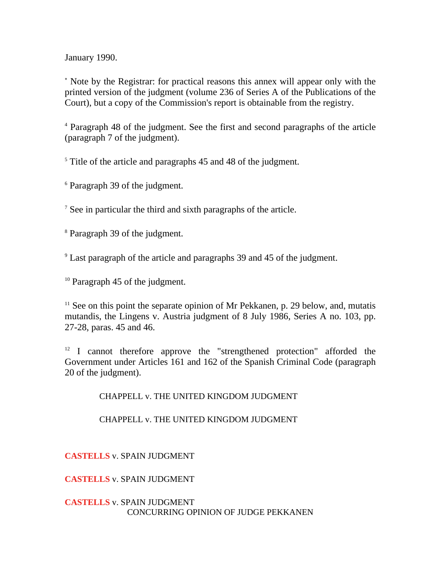January 1990.

 Note by the Registrar: for practical reasons this annex will appear only with the printed version of the judgment (volume 236 of Series A of the Publications of the Court), but a copy of the Commission's report is obtainable from the registry.

<sup>4</sup> Paragraph 48 of the judgment. See the first and second paragraphs of the article (paragraph 7 of the judgment).

<sup>5</sup> Title of the article and paragraphs 45 and 48 of the judgment.

<sup>6</sup> Paragraph 39 of the judgment.

<sup>7</sup> See in particular the third and sixth paragraphs of the article.

<sup>8</sup> Paragraph 39 of the judgment.

<sup>9</sup> Last paragraph of the article and paragraphs 39 and 45 of the judgment.

<sup>10</sup> Paragraph 45 of the judgment.

 $11$  See on this point the separate opinion of Mr Pekkanen, p. 29 below, and, mutatis mutandis, the Lingens v. Austria judgment of 8 July 1986, Series A no. 103, pp. 27-28, paras. 45 and 46.

 $12$  I cannot therefore approve the "strengthened protection" afforded the Government under Articles 161 and 162 of the Spanish Criminal Code (paragraph 20 of the judgment).

CHAPPELL v. THE UNITED KINGDOM JUDGMENT

CHAPPELL v. THE UNITED KINGDOM JUDGMENT

**CASTELLS** v. SPAIN JUDGMENT

**CASTELLS** v. SPAIN JUDGMENT

#### **CASTELLS** v. SPAIN JUDGMENT CONCURRING OPINION OF JUDGE PEKKANEN